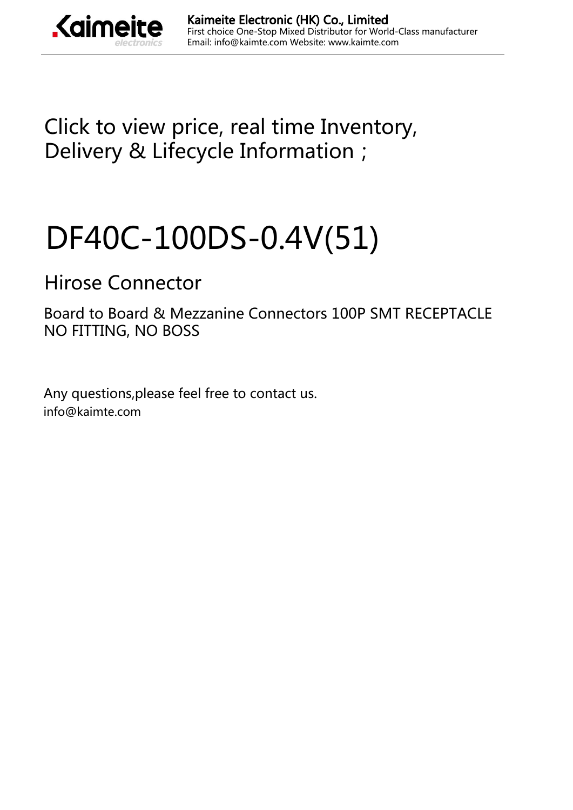

[Click to view price, real time Inventory,](https://kaimte.com/product/details/hirose-connector/df40c-100ds-0-4v-51.html) [Delivery & Lifecycle Information;](https://kaimte.com/product/details/hirose-connector/df40c-100ds-0-4v-51.html)

# [DF40C-100DS-0.4V\(51\)](https://kaimte.com/product/details/hirose-connector/df40c-100ds-0-4v-51.html)

## [Hirose Connector](https://kaimte.com/manufacturers/hirose-connector.html)

Board to Board & Mezzanine Connectors 100P SMT RECEPTACLE NO FITTING, NO BOSS

Any questions,please feel free to contact us. info@kaimte.com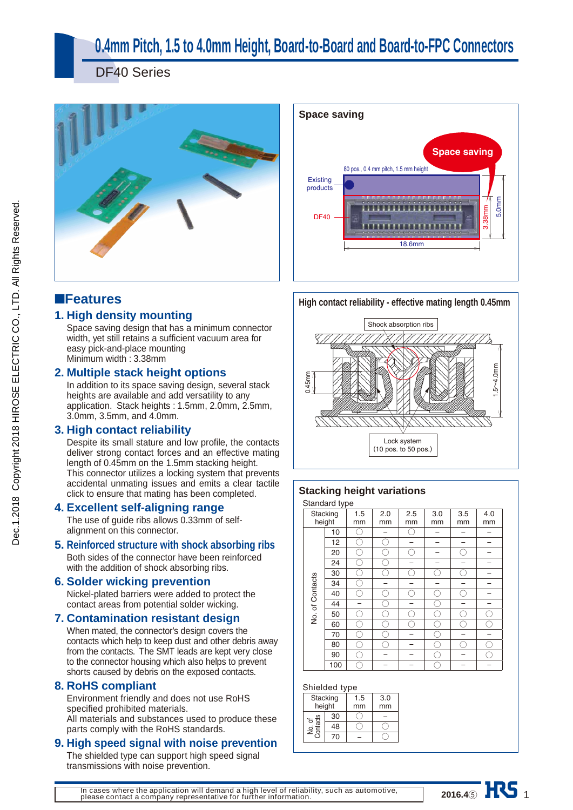## **0.4mm Pitch, 1.5 to 4.0mm Height, Board-to-Board and Board-to-FPC Connectors**

DF40 Series





### ■**Features**

### **1. High density mounting**

Space saving design that has a minimum connector width, yet still retains a sufficient vacuum area for easy pick-and-place mounting Minimum width : 3.38mm

### **2. Multiple stack height options**

In addition to its space saving design, several stack heights are available and add versatility to any application. Stack heights : 1.5mm, 2.0mm, 2.5mm, 3.0mm, 3.5mm, and 4.0mm.

### **3. High contact reliability**

Despite its small stature and low profile, the contacts deliver strong contact forces and an effective mating length of 0.45mm on the 1.5mm stacking height. This connector utilizes a locking system that prevents accidental unmating issues and emits a clear tactile click to ensure that mating has been completed.

### **4. Excellent self-aligning range**

The use of guide ribs allows 0.33mm of selfalignment on this connector.

#### **5. Reinforced structure with shock absorbing ribs**

Both sides of the connector have been reinforced with the addition of shock absorbing ribs.

#### **6. Solder wicking prevention**

Nickel-plated barriers were added to protect the contact areas from potential solder wicking.

### **7. Contamination resistant design**

When mated, the connector's design covers the contacts which help to keep dust and other debris away from the contacts. The SMT leads are kept very close to the connector housing which also helps to prevent shorts caused by debris on the exposed contacts.

#### **8. RoHS compliant**

Environment friendly and does not use RoHS specified prohibited materials. All materials and substances used to produce these parts comply with the RoHS standards.

#### **9. High speed signal with noise prevention**

The shielded type can support high speed signal transmissions with noise prevention.

**High contact reliability - effective mating length 0.45mm**



### **Stacking height variations**

Standard type

|                 | Standard type<br>Stacking<br>height | 1.5<br>mm | 2.0<br>mm | 2.5<br>mm | 3.0<br>mm | 3.5<br>mm | 4.0<br>mm |
|-----------------|-------------------------------------|-----------|-----------|-----------|-----------|-----------|-----------|
|                 | 10                                  |           |           | Γ         |           |           |           |
|                 | 12                                  |           |           |           |           |           |           |
|                 | 20                                  |           |           | ۰.        |           |           |           |
|                 | 24                                  |           |           |           |           |           |           |
|                 | 30                                  | Γ.        |           | C.        | C,        | ν.        |           |
|                 | 34                                  |           |           |           |           |           |           |
| No. of Contacts | 40                                  |           |           | ۰.        |           |           |           |
|                 | 44                                  |           |           |           |           |           |           |
|                 | 50                                  |           |           |           |           |           |           |
|                 | 60                                  |           |           |           |           |           |           |
|                 | 70                                  |           |           |           |           |           |           |
|                 | 80                                  |           |           |           |           |           |           |
|                 | 90                                  | r.        |           |           |           |           |           |
|                 | 100                                 |           |           |           |           |           |           |

**2016.4⑤ ALV** 1

#### Shielded type

|                          | omenaca tvpc |           |           |
|--------------------------|--------------|-----------|-----------|
| Stacking<br>height<br>30 |              | 1.5<br>mm | 3.0<br>mm |
|                          |              |           |           |
| No. of<br>Contacts       | 48           |           |           |
|                          | 70           |           |           |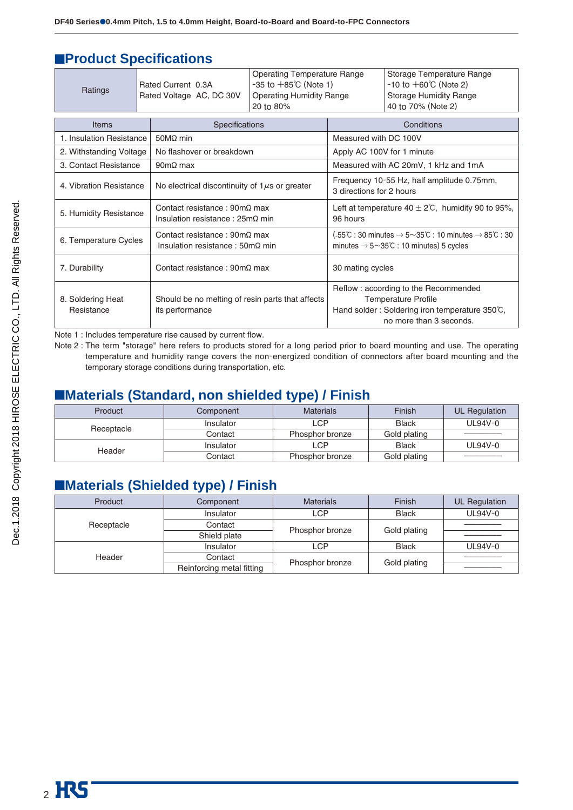### **EProduct Specifications**

| Ratings                         |  | Rated Current 0.3A<br>Rated Voltage AC, DC 30V                                                | <b>Operating Temperature Range</b><br>$-35$ to $+85^{\circ}$ C (Note 1)<br><b>Operating Humidity Range</b><br>20 to 80% | Storage Temperature Range<br>$-10$ to $+60^{\circ}$ C (Note 2)<br><b>Storage Humidity Range</b><br>40 to 70% (Note 2)                                 |                                      |  |
|---------------------------------|--|-----------------------------------------------------------------------------------------------|-------------------------------------------------------------------------------------------------------------------------|-------------------------------------------------------------------------------------------------------------------------------------------------------|--------------------------------------|--|
| Items                           |  | Specifications                                                                                |                                                                                                                         |                                                                                                                                                       | Conditions                           |  |
| 1. Insulation Resistance        |  | $50M\Omega$ min                                                                               |                                                                                                                         | Measured with DC 100V                                                                                                                                 |                                      |  |
| 2. Withstanding Voltage         |  | No flashover or breakdown                                                                     |                                                                                                                         | Apply AC 100V for 1 minute                                                                                                                            |                                      |  |
| 3. Contact Resistance           |  | $90 \text{m}\Omega$ max                                                                       |                                                                                                                         |                                                                                                                                                       | Measured with AC 20mV, 1 kHz and 1mA |  |
| 4. Vibration Resistance         |  | No electrical discontinuity of $1\mu s$ or greater                                            |                                                                                                                         | Frequency 10-55 Hz, half amplitude 0.75mm,<br>3 directions for 2 hours                                                                                |                                      |  |
| 5. Humidity Resistance          |  | Contact resistance: $90 \text{m}\Omega$ max<br>Insulation resistance: $25m\Omega$ min         |                                                                                                                         | Left at temperature $40 \pm 2^{\circ}$ C, humidity 90 to 95%,<br>96 hours                                                                             |                                      |  |
| 6. Temperature Cycles           |  | Contact resistance: $90 \text{m}\Omega$ max<br>Insulation resistance: $50 \text{m}\Omega$ min |                                                                                                                         | (-55°C : 30 minutes $\rightarrow$ 5~35°C : 10 minutes $\rightarrow$ 85°C : 30<br>minutes $\rightarrow$ 5 $\sim$ 35 $\degree$ C : 10 minutes) 5 cycles |                                      |  |
| 7. Durability                   |  | Contact resistance: $90 \text{m}\Omega$ max                                                   |                                                                                                                         | 30 mating cycles                                                                                                                                      |                                      |  |
| 8. Soldering Heat<br>Resistance |  | Should be no melting of resin parts that affects<br>its performance                           |                                                                                                                         | Reflow: according to the Recommended<br><b>Temperature Profile</b><br>Hand solder: Soldering iron temperature 350°C,<br>no more than 3 seconds.       |                                      |  |

Note 1 : Includes temperature rise caused by current flow.

Note 2 : The term "storage" here refers to products stored for a long period prior to board mounting and use. The operating temperature and humidity range covers the non-energized condition of connectors after board mounting and the temporary storage conditions during transportation, etc.

### ■**Materials (Standard, non shielded type) / Finish**

| Product    | Component |                 | <b>Finish</b> | UL Regulation |
|------------|-----------|-----------------|---------------|---------------|
| Receptacle | Insulator | LCP             | <b>Black</b>  | $UL94V-0$     |
|            | Contact   | Phosphor bronze | Gold plating  |               |
|            | Insulator | LCP             | <b>Black</b>  | UL94V-0       |
| Header     | Contact   | Phosphor bronze | Gold plating  |               |

### ■**Materials (Shielded type) / Finish**

| Product    | Component                 | <b>Materials</b> | Finish       | <b>UL Regulation</b> |
|------------|---------------------------|------------------|--------------|----------------------|
|            | Insulator                 | <b>LCP</b>       | <b>Black</b> | UL94V-0              |
| Receptacle | Contact                   |                  |              |                      |
|            | Shield plate              | Phosphor bronze  | Gold plating |                      |
| Header     | Insulator                 | <b>LCP</b>       | <b>Black</b> | UL94V-0              |
|            | Contact                   |                  |              |                      |
|            | Reinforcing metal fitting | Phosphor bronze  | Gold plating |                      |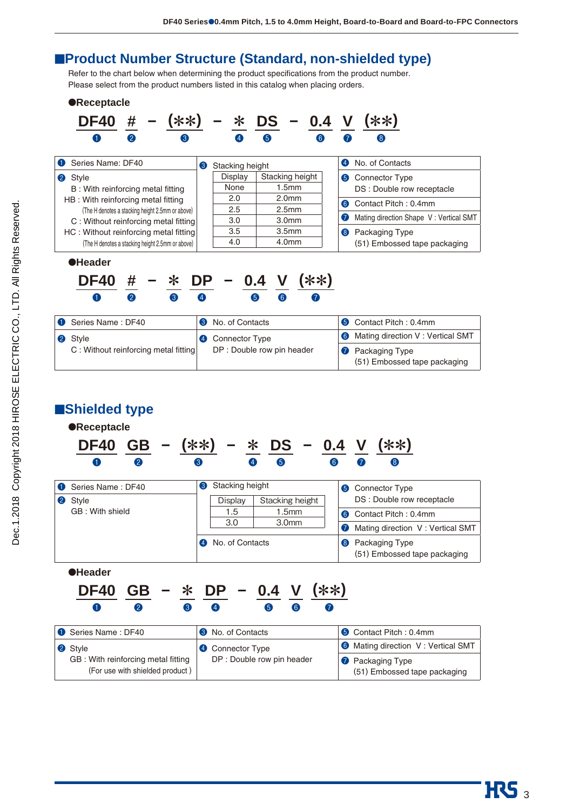### ■**Product Number Structure (Standard, non-shielded type)**

Refer to the chart below when determining the product specifications from the product number. Please select from the product numbers listed in this catalog when placing orders.



| Series Name: DF40                                                     | <b>3</b> No. of Contacts   | <b>6</b> Contact Pitch: 0.4mm                           |
|-----------------------------------------------------------------------|----------------------------|---------------------------------------------------------|
| 2 Style                                                               | <b>4</b> Connector Type    | <b>6</b> Mating direction V: Vertical SMT               |
| GB: With reinforcing metal fitting<br>(For use with shielded product) | DP : Double row pin header | <b>1</b> Packaging Type<br>(51) Embossed tape packaging |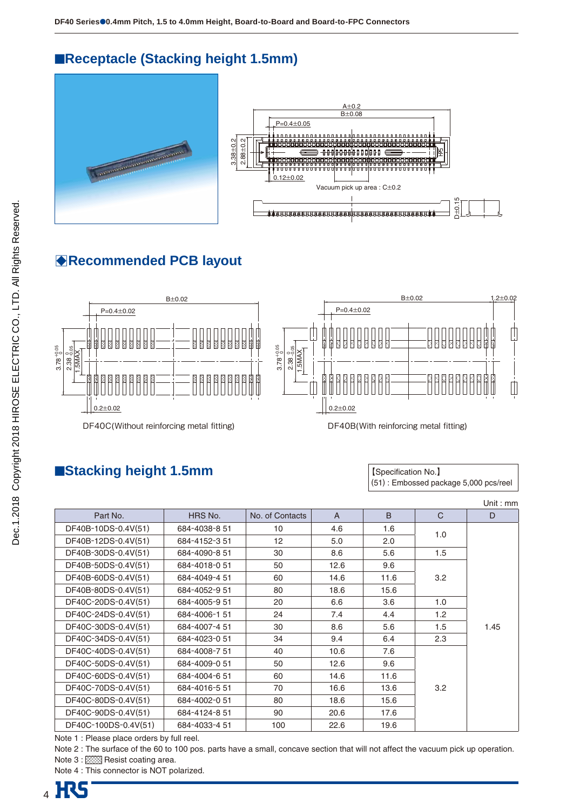### ■**Receptacle (Stacking height 1.5mm)**





### B**Recommended PCB layout**



### ■**Stacking height 1.5mm**

【Specification No.】 (51) : Embossed package 5,000 pcs/reel

|                      |               |                 |              |      |              | Unit : $mm$ |
|----------------------|---------------|-----------------|--------------|------|--------------|-------------|
| Part No.             | HRS No.       | No. of Contacts | $\mathsf{A}$ | B    | $\mathsf{C}$ | D           |
| DF40B-10DS-0.4V(51)  | 684-4038-8 51 | 10              | 4.6          | 1.6  |              |             |
| DF40B-12DS-0.4V(51)  | 684-4152-351  | 12              | 5.0          | 2.0  | 1.0          |             |
| DF40B-30DS-0.4V(51)  | 684-4090-8 51 | 30              | 8.6          | 5.6  | 1.5          |             |
| DF40B-50DS-0.4V(51)  | 684-4018-051  | 50              | 12.6         | 9.6  |              |             |
| DF40B-60DS-0.4V(51)  | 684-4049-4 51 | 60              | 14.6         | 11.6 | 3.2          |             |
| DF40B-80DS-0.4V(51)  | 684-4052-9 51 | 80              | 18.6         | 15.6 |              |             |
| DF40C-20DS-0.4V(51)  | 684-4005-9 51 | 20              | 6.6          | 3.6  | 1.0          |             |
| DF40C-24DS-0.4V(51)  | 684-4006-151  | 24              | 7.4          | 4.4  | 1.2          |             |
| DF40C-30DS-0.4V(51)  | 684-4007-4 51 | 30              | 8.6          | 5.6  | 1.5          | 1.45        |
| DF40C-34DS-0.4V(51)  | 684-4023-0 51 | 34              | 9.4          | 6.4  | 2.3          |             |
| DF40C-40DS-0.4V(51)  | 684-4008-7 51 | 40              | 10.6         | 7.6  |              |             |
| DF40C-50DS-0.4V(51)  | 684-4009-0 51 | 50              | 12.6         | 9.6  |              |             |
| DF40C-60DS-0.4V(51)  | 684-4004-651  | 60              | 14.6         | 11.6 |              |             |
| DF40C-70DS-0.4V(51)  | 684-4016-551  | 70              | 16.6         | 13.6 | 3.2          |             |
| DF40C-80DS-0.4V(51)  | 684-4002-0 51 | 80              | 18.6         | 15.6 |              |             |
| DF40C-90DS-0.4V(51)  | 684-4124-8 51 | 90              | 20.6         | 17.6 |              |             |
| DF40C-100DS-0.4V(51) | 684-4033-4 51 | 100             | 22.6         | 19.6 |              |             |

Note 1 : Please place orders by full reel.

Note 2 : The surface of the 60 to 100 pos. parts have a small, concave section that will not affect the vacuum pick up operation. Note 3 : XXX Resist coating area.

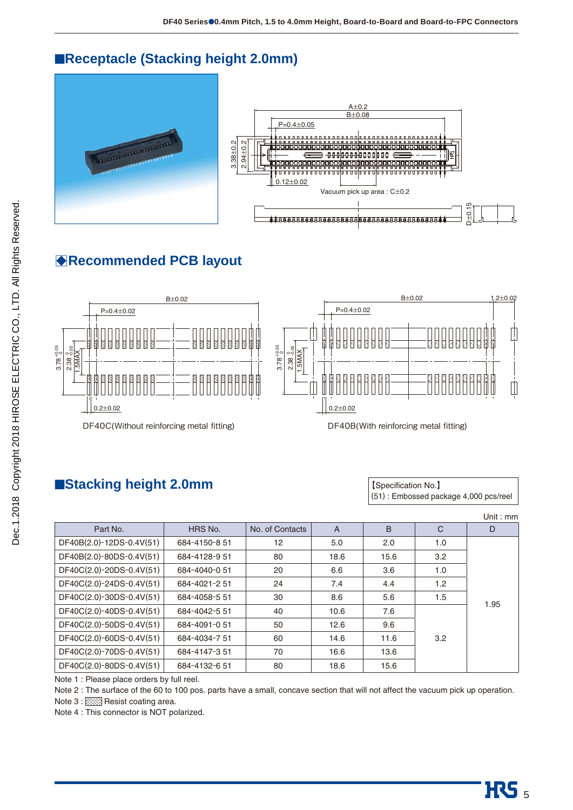### ■**Receptacle (Stacking height 2.0mm)**





### B**Recommended PCB layout**



### ■**Stacking height 2.0mm stacking height 2.0mm stacking in the stacking of the stacking in the stacking in the stacking of the stacking in the stacking in the stacking in the stacking in the stacking in the stacking in**

(51) : Embossed package 4,000 pcs/reel

|                                           |               |                 |                |      |              | Unit : mm |
|-------------------------------------------|---------------|-----------------|----------------|------|--------------|-----------|
| Part No.                                  | HRS No.       | No. of Contacts | $\overline{A}$ | B    | $\mathsf{C}$ | D         |
| DF40B(2.0)-12DS-0.4V(51)                  | 684-4150-8 51 | 12              | 5.0            | 2.0  | 1.0          |           |
| DF40B(2.0)-80DS-0.4V(51)                  | 684-4128-9 51 | 80              | 18.6           | 15.6 | 3.2          |           |
| DF40C(2.0)-20DS-0.4V(51)                  | 684-4040-0 51 | 20              | 6.6            | 3.6  | 1.0          |           |
| DF40C(2.0)-24DS-0.4V(51)                  | 684-4021-2 51 | 24              | 7.4            | 4.4  | 1.2          |           |
| DF40C(2.0)-30DS-0.4V(51)                  | 684-4058-5 51 | 30              | 8.6            | 5.6  | 1.5          | 1.95      |
| DF40C(2.0)-40DS-0.4V(51)                  | 684-4042-5 51 | 40              | 10.6           | 7.6  |              |           |
| DF40C(2.0)-50DS-0.4V(51)                  | 684-4091-051  | 50              | 12.6           | 9.6  |              |           |
| DF40C(2.0)-60DS-0.4V(51)                  | 684-4034-7 51 | 60              | 14.6           | 11.6 | 3.2          |           |
| DF40C(2.0)-70DS-0.4V(51)                  | 684-4147-351  | 70              | 16.6           | 13.6 |              |           |
| DF40C(2.0)-80DS-0.4V(51)                  | 684-4132-651  | 80              | 18.6           | 15.6 |              |           |
| Note 1: Please place orders by full reel. |               |                 |                |      |              |           |

Note 2 : The surface of the 60 to 100 pos. parts have a small, concave section that will not affect the vacuum pick up operation.

Note 3 : XXX Resist coating area.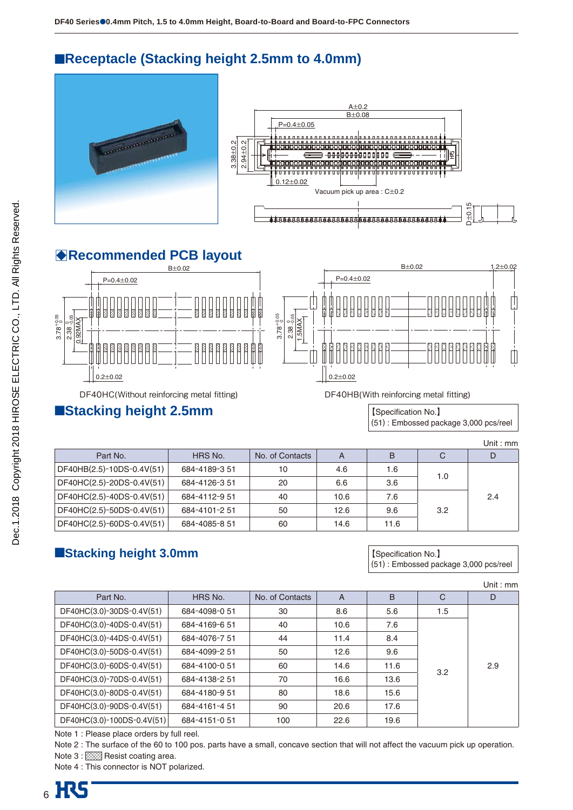### ■**Receptacle (Stacking height 2.5mm to 4.0mm)**





### B**Recommended PCB layout**



### ■**Stacking height 2.5mm Stacking height 2.5mm Stacking in the Stacking height 2.5mm**

(51) : Embossed package 3,000 pcs/reel

|                           |               |                 |      |      |     | Unit : mm |
|---------------------------|---------------|-----------------|------|------|-----|-----------|
| Part No.                  | HRS No.       | No. of Contacts | A    | B    | C   |           |
| DF40HB(2.5)-10DS-0.4V(51) | 684-4189-351  | 10              | 4.6  | 1.6  |     |           |
| DF40HC(2.5)-20DS-0.4V(51) | 684-4126-351  | 20              | 6.6  | 3.6  | 1.0 |           |
| DF40HC(2.5)-40DS-0.4V(51) | 684-4112-9 51 | 40              | 10.6 | 7.6  |     | 2.4       |
| DF40HC(2.5)-50DS-0.4V(51) | 684-4101-251  | 50              | 12.6 | 9.6  | 3.2 |           |
| DF40HC(2.5)-60DS-0.4V(51) | 684-4085-8 51 | 60              | 14.6 | 11.6 |     |           |

### ■**Stacking height 3.0mm b stacking height 3.0mm b a stacking is a stacking height 3.0mm**

(51) : Embossed package 3,000 pcs/reel

|                            |               |                 |                |      |              | Unit: $mm$ |
|----------------------------|---------------|-----------------|----------------|------|--------------|------------|
| Part No.                   | HRS No.       | No. of Contacts | $\overline{A}$ | B    | $\mathsf{C}$ | D          |
| DF40HC(3.0)-30DS-0.4V(51)  | 684-4098-0 51 | 30              | 8.6            | 5.6  | 1.5          |            |
| DF40HC(3.0)-40DS-0.4V(51)  | 684-4169-651  | 40              | 10.6           | 7.6  |              | 2.9        |
| DF40HC(3.0)-44DS-0.4V(51)  | 684-4076-7 51 | 44              | 11.4           | 8.4  |              |            |
| DF40HC(3.0)-50DS-0.4V(51)  | 684-4099-2 51 | 50              | 12.6           | 9.6  |              |            |
| DF40HC(3.0)-60DS-0.4V(51)  | 684-4100-0 51 | 60              | 14.6           | 11.6 | 3.2          |            |
| DF40HC(3.0)-70DS-0.4V(51)  | 684-4138-2 51 | 70              | 16.6           | 13.6 |              |            |
| DF40HC(3.0)-80DS-0.4V(51)  | 684-4180-9 51 | 80              | 18.6           | 15.6 |              |            |
| DF40HC(3.0)-90DS-0.4V(51)  | 684-4161-451  | 90              | 20.6           | 17.6 |              |            |
| DF40HC(3.0)-100DS-0.4V(51) | 684-4151-051  | 100             | 22.6           | 19.6 |              |            |

Note 1 : Please place orders by full reel.

Note 2 : The surface of the 60 to 100 pos. parts have a small, concave section that will not affect the vacuum pick up operation. Note 3 : XXX Resist coating area.

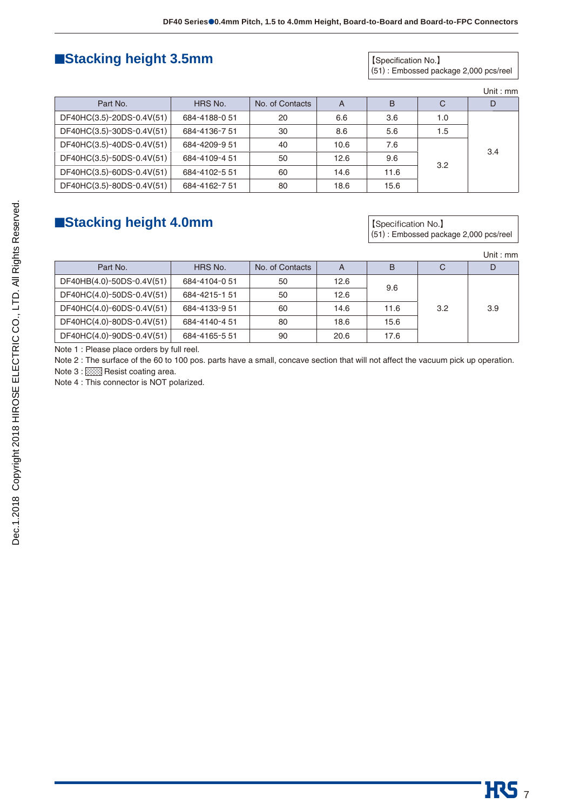### ■**Stacking height 3.5mm biggers and Stacking height 3.5mm**

(51) : Embossed package 2,000 pcs/reel

|  | mm |
|--|----|
|--|----|

| Part No.                  | HRS No.       | No. of Contacts | A    | B    | C   | D   |
|---------------------------|---------------|-----------------|------|------|-----|-----|
| DF40HC(3.5)-20DS-0.4V(51) | 684-4188-0 51 | 20              | 6.6  | 3.6  | 1.0 |     |
| DF40HC(3.5)-30DS-0.4V(51) | 684-4136-7 51 | 30              | 8.6  | 5.6  | 1.5 |     |
| DF40HC(3.5)-40DS-0.4V(51) | 684-4209-9 51 | 40              | 10.6 | 7.6  |     | 3.4 |
| DF40HC(3.5)-50DS-0.4V(51) | 684-4109-4 51 | 50              | 12.6 | 9.6  |     |     |
| DF40HC(3.5)-60DS-0.4V(51) | 684-4102-5 51 | 60              | 14.6 | 11.6 | 3.2 |     |
| DF40HC(3.5)-80DS-0.4V(51) | 684-4162-751  | 80              | 18.6 | 15.6 |     |     |

### ■Stacking height 4.0mm **is a stacking height 4.0mm is a stacking height 4.0mm**

(51) : Embossed package 2,000 pcs/reel

|                           |               |                 |      |      |     | Unit : mm |
|---------------------------|---------------|-----------------|------|------|-----|-----------|
| Part No.                  | HRS No.       | No. of Contacts | A    | B    | C   | D         |
| DF40HB(4.0)-50DS-0.4V(51) | 684-4104-051  | 50              | 12.6 |      |     |           |
| DF40HC(4.0)-50DS-0.4V(51) | 684-4215-151  | 50              | 12.6 | 9.6  |     |           |
| DF40HC(4.0)-60DS-0.4V(51) | 684-4133-9 51 | 60              | 14.6 | 11.6 | 3.2 | 3.9       |
| DF40HC(4.0)-80DS-0.4V(51) | 684-4140-4 51 | 80              | 18.6 | 15.6 |     |           |
| DF40HC(4.0)-90DS-0.4V(51) | 684-4165-5 51 | 90              | 20.6 | 17.6 |     |           |

Note 1 : Please place orders by full reel.

Note 2 : The surface of the 60 to 100 pos. parts have a small, concave section that will not affect the vacuum pick up operation.

Note 3 : 888 Resist coating area.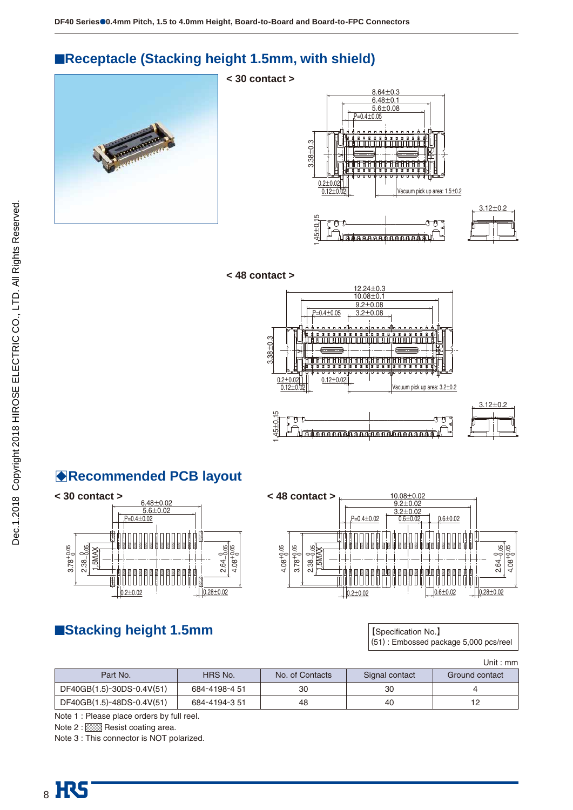### ■**Receptacle (Stacking height 1.5mm, with shield)**

**< 30 contact >**





 $\sqrt{AA}$   $AA$   $AA$   $AA$   $AA$   $AA$   $AA$   $AA$   $AA$ 





1.45  $±0.15$ 

רחר

1.45



ऻक़क़क़क़क़क़क़ॿ<mark>क़क़क़क़क़क़क़क़क़क़क़क़क़क़</mark>क़॑



### B**Recommended PCB layout**





### ■**Stacking height 1.5mm biggers and Stacking height 1.5mm**

(51) : Embossed package 5,000 pcs/reel

ा गा

|                           |               |                 |                | Unit : mm      |
|---------------------------|---------------|-----------------|----------------|----------------|
| Part No.                  | HRS No.       | No. of Contacts | Signal contact | Ground contact |
| DF40GB(1.5)-30DS-0.4V(51) | 684-4198-4 51 | 30              | 30             |                |
| DF40GB(1.5)-48DS-0.4V(51) | 684-4194-3 51 | 48              | 40             | 12             |

Note 1 : Please place orders by full reel.

Note 2 : XXX Resist coating area.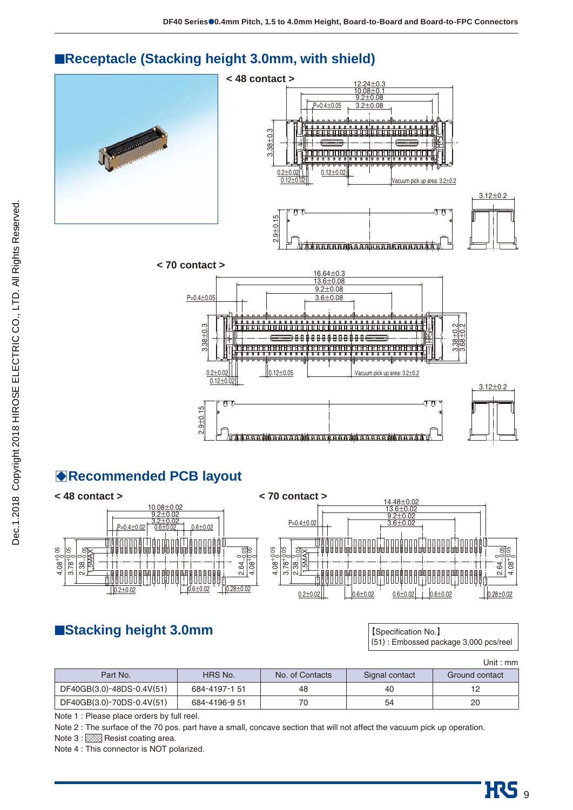

### ■**Receptacle (Stacking height 3.0mm, with shield)**

### B**Recommended PCB layout**



### ■**Stacking height 3.0mm stacking height 3.0mm**

(51) : Embossed package 3,000 pcs/reel

HC<sub>9</sub>

|                           |               |                 |                | Unit : $mm$    |
|---------------------------|---------------|-----------------|----------------|----------------|
| Part No.                  | HRS No.       | No. of Contacts | Signal contact | Ground contact |
| DF40GB(3.0)-48DS-0.4V(51) | 684-4197-151  | 48              | 40             | 12             |
| DF40GB(3.0)-70DS-0.4V(51) | 684-4196-9 51 | 70              | 54             | 20             |

Note 1 : Please place orders by full reel.

Note 2 : The surface of the 70 pos. part have a small, concave section that will not affect the vacuum pick up operation.

Note 3 : 888 Resist coating area.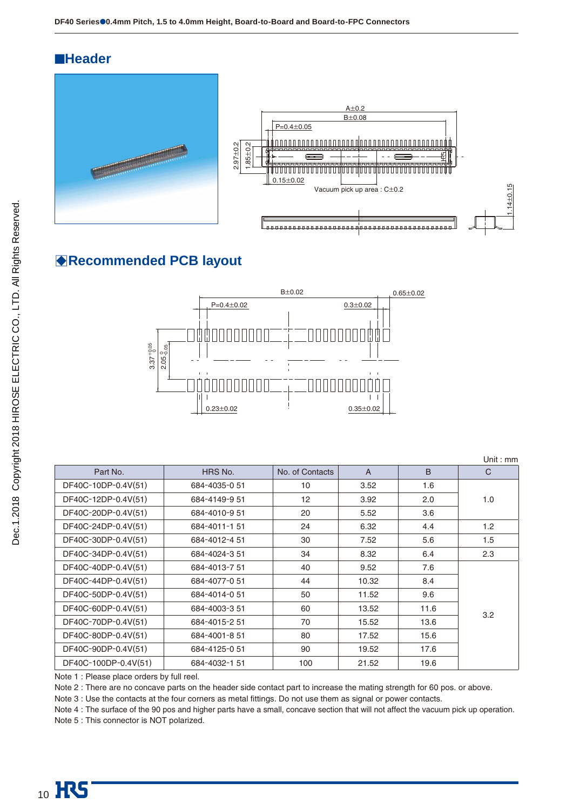### ■**Header**





Unit : mm

### B**Recommended PCB layout**



Part No. | HRS No. | No. of Contacts | A | B | C DF40C-10DP-0.4V(51) 684-4035-0 51 10 3.52 1.6 DF40C-12DP-0.4V(51) 684-4149-9 51 12 3.92 2.0 1.0 DF40C-20DP-0.4V(51) 684-4010-9 51 20 5.52 3.6 DF40C-24DP-0.4V(51) 684-4011-1 51 24 6.32 4.4 1.2 DF40C-30DP-0.4V(51) 684-4012-4 51 30 7.52 5.6 1.5 DF40C-34DP-0.4V(51) 684-4024-3 51 34 8.32 6.4 2.3 DF40C-40DP-0.4V(51) 684-4013-7 51 40 9.52 7.6 3.2 DF40C-44DP-0.4V(51) 684-4077-0 51 44 10.32 8.4 DF40C-50DP-0.4V(51) 684-4014-0 51 50 11.52 9.6 DF40C-60DP-0.4V(51) 684-4003-3 51 60 13.52 11.6 DF40C-70DP-0.4V(51) 684-4015-2 51 70 15.52 13.6 DF40C-80DP-0.4V(51) 684-4001-8 51 80 17.52 15.6 DF40C-90DP-0.4V(51) 684-4125-0 51 90 19.52 17.6 DF40C-100DP-0.4V(51) 684-4032-1 51 100 21.52 19.6

Note 1 : Please place orders by full reel.

Note 2 : There are no concave parts on the header side contact part to increase the mating strength for 60 pos. or above.

Note 3 : Use the contacts at the four corners as metal fittings. Do not use them as signal or power contacts.

Note 4 : The surface of the 90 pos and higher parts have a small, concave section that will not affect the vacuum pick up operation.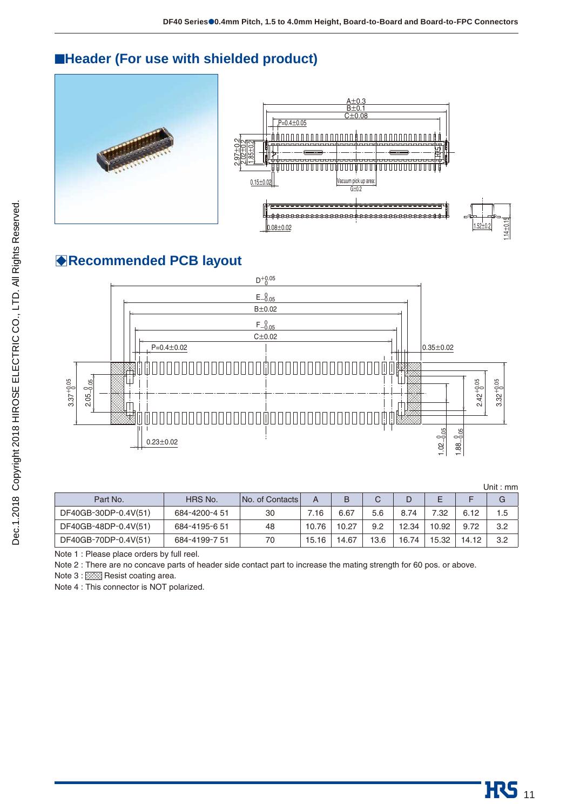### ■**Header (For use with shielded product)**





### B**Recommended PCB layout**



|                      |               |                 |       |       |      |       |       |       | Unit : mm |
|----------------------|---------------|-----------------|-------|-------|------|-------|-------|-------|-----------|
| Part No.             | HRS No.       | No. of Contacts | A     | B     | C    |       | E     |       | G         |
| DF40GB-30DP-0.4V(51) | 684-4200-4 51 | 30              | 7.16  | 6.67  | 5.6  | 8.74  | 7.32  | 6.12  | 1.5       |
| DF40GB-48DP-0.4V(51) | 684-4195-6 51 | 48              | 10.76 | 10.27 | 9.2  | 12.34 | 10.92 | 9.72  | 3.2       |
| DF40GB-70DP-0.4V(51) | 684-4199-7 51 | 70              | 15.16 | 14.67 | 13.6 | 16.74 | 15.32 | 14.12 | 3.2       |

Note 1 : Please place orders by full reel.

Note 2 : There are no concave parts of header side contact part to increase the mating strength for 60 pos. or above.

Note 3 : XXX Resist coating area.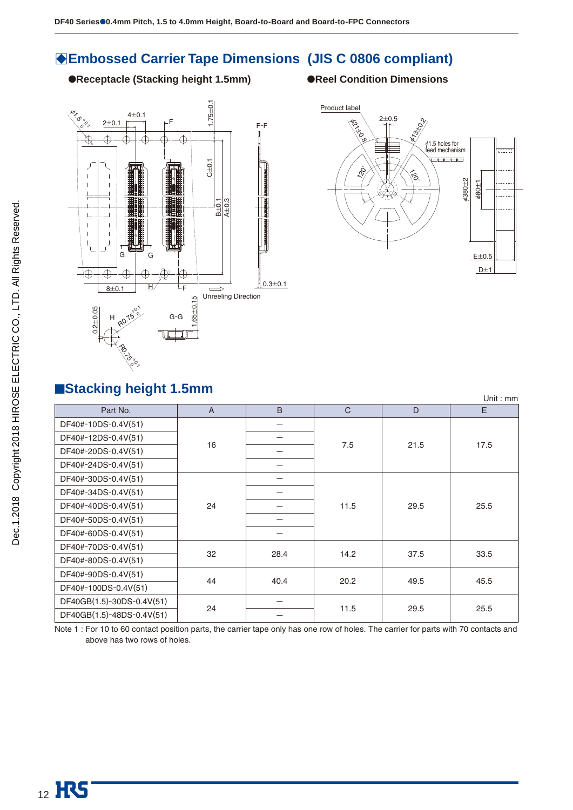### **BEmbossed Carrier Tape Dimensions (JIS C 0806 compliant)**

●**Receptacle (Stacking height 1.5mm)** ●**Reel Condition Dimensions** 





### ■**Stacking height 1.5mm**

|                           |                |      |              |      | Unit : $mm$ |  |
|---------------------------|----------------|------|--------------|------|-------------|--|
| Part No.                  | $\overline{A}$ | B    | $\mathsf{C}$ | D    | E           |  |
| DF40#-10DS-0.4V(51)       |                |      |              |      |             |  |
| DF40#-12DS-0.4V(51)       | 16             |      | 7.5          | 21.5 | 17.5        |  |
| DF40#-20DS-0.4V(51)       |                |      |              |      |             |  |
| DF40#-24DS-0.4V(51)       |                |      |              |      |             |  |
| DF40#-30DS-0.4V(51)       |                |      |              |      |             |  |
| DF40#-34DS-0.4V(51)       |                |      | 11.5         | 29.5 |             |  |
| DF40#-40DS-0.4V(51)       | 24             |      |              |      | 25.5        |  |
| DF40#-50DS-0.4V(51)       |                |      |              |      |             |  |
| DF40#-60DS-0.4V(51)       |                |      |              |      |             |  |
| DF40#-70DS-0.4V(51)       | 32             |      |              |      |             |  |
| DF40#-80DS-0.4V(51)       |                | 28.4 | 14.2         | 37.5 | 33.5        |  |
| DF40#-90DS-0.4V(51)       | 44             | 40.4 |              |      |             |  |
| DF40#-100DS-0.4V(51)      |                |      | 20.2         | 49.5 | 45.5        |  |
| DF40GB(1.5)-30DS-0.4V(51) | 24             |      | 11.5         | 29.5 | 25.5        |  |
| DF40GB(1.5)-48DS-0.4V(51) |                |      |              |      |             |  |

Note 1 : For 10 to 60 contact position parts, the carrier tape only has one row of holes. The carrier for parts with 70 contacts and above has two rows of holes.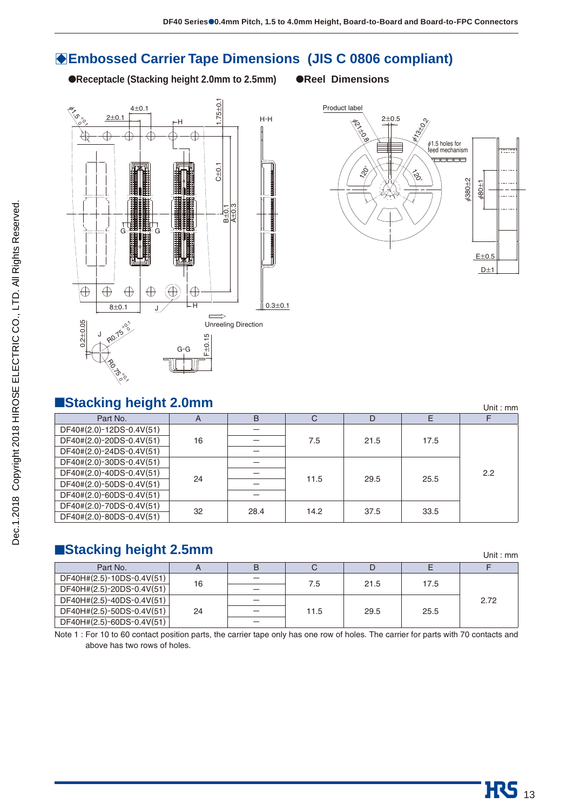### **BEmbossed Carrier Tape Dimensions (JIS C 0806 compliant)**

●**Receptacle (Stacking height 2.0mm to 2.5mm)** ●**Reel Dimensions**





### ■**Stacking height 2.0mm**

| <b>ESTACKING NEIGHT Z.UMM</b> |    |      |      |      |      | Unit : $mm$ |
|-------------------------------|----|------|------|------|------|-------------|
| Part No.                      | A  | B    | C    | D    | Е    | F           |
| DF40#(2.0)-12DS-0.4V(51)      |    |      |      |      |      |             |
| DF40#(2.0)-20DS-0.4V(51)      | 16 |      | 7.5  | 21.5 | 17.5 |             |
| DF40#(2.0)-24DS-0.4V(51)      |    |      |      |      |      |             |
| DF40#(2.0)-30DS-0.4V(51)      |    |      |      |      |      |             |
| DF40#(2.0)-40DS-0.4V(51)      | 24 |      | 11.5 | 29.5 | 25.5 | 2.2         |
| DF40#(2.0)-50DS-0.4V(51)      |    |      |      |      |      |             |
| DF40#(2.0)-60DS-0.4V(51)      |    |      |      |      |      |             |
| DF40#(2.0)-70DS-0.4V(51)      | 32 | 28.4 | 14.2 | 37.5 | 33.5 |             |
| DF40#(2.0)-80DS-0.4V(51)      |    |      |      |      |      |             |

### ■Stacking height 2.5mm

| Part No.                  |    | В | ◡    |      |      |      |
|---------------------------|----|---|------|------|------|------|
| DF40H#(2.5)-10DS-0.4V(51) | 16 |   | 7.5  | 21.5 | 17.5 |      |
| DF40H#(2.5)-20DS-0.4V(51) |    |   |      |      |      |      |
| DF40H#(2.5)-40DS-0.4V(51) |    |   |      |      |      | 2.72 |
| DF40H#(2.5)-50DS-0.4V(51) | 24 |   | 11.5 | 29.5 | 25.5 |      |
| DF40H#(2.5)-60DS-0.4V(51) |    |   |      |      |      |      |

Note 1 : For 10 to 60 contact position parts, the carrier tape only has one row of holes. The carrier for parts with 70 contacts and above has two rows of holes.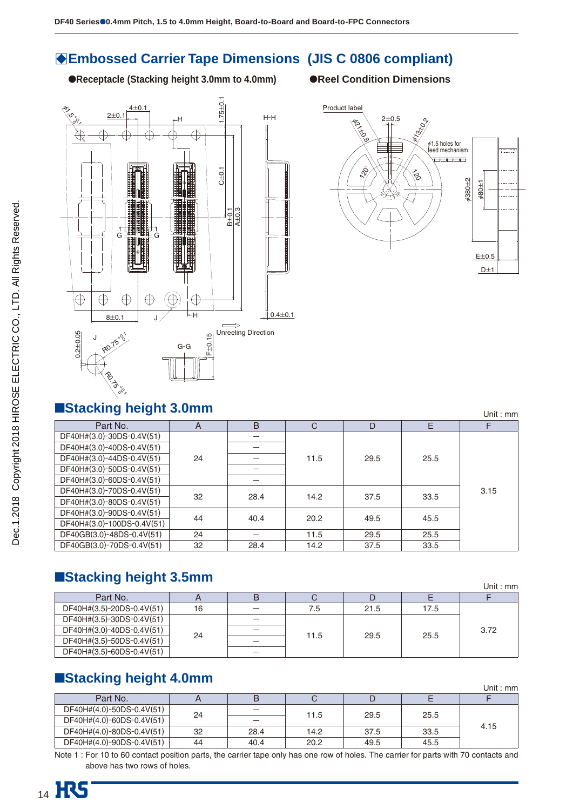### $\bullet$  **Embossed Carrier Tape Dimensions (JIS C 0806 compliant)**

●**Receptacle (Stacking height 3.0mm to 4.0mm)** ●**Reel Condition Dimensions**





■**Stacking height 3.0mm** Unit : mm Part No. A B CDEF DF40H#(3.0)-30DS-0.4V(51) 24 - 11.5 29.5 25.5 3.15 DF40H#(3.0)-40DS-0.4V(51) DF40H#(3.0)-44DS-0.4V(51) DF40H#(3.0)-50DS-0.4V(51) DF40H#(3.0)-60DS-0.4V(51)  $\begin{array}{|l|c|c|c|c|c|c|}\n\hline\n\text{DFAOH}\n\#(3.0)-\text{70DS-0.4V(51)} & & 32 & 28.4 & 14.2 & 37.5 & 33.5\n\hline\n\end{array}$  $\begin{array}{|c|c|c|c|c|c|c|c|}\n\hline\nDE40H\#(3.0)-90DS-0.4V(51) & & & & 44 & 40.4 & 20.2 & 49.5 & 45.5\n\hline\nDE40H\#(3.0)-100DS-0.4V(51) & & & & 40.4 & 20.2 & 49.5 & 45.5\n\hline\n\end{array}$ 0 DF40GB(3.0)-48DS-0.4V(51) 24 - 11.5 29.5 25.5<br>0 DF40GB(3.0)-70DS-0.4V(51) 32 28.4 14.2 37.5 33.5 DF40GB(3.0)-70DS-0.4V(51) 32 28.4 14.2 37.5

### ■**Stacking height 3.5mm**

|                           |    |   |      |      |      | Unit: $mm$ |
|---------------------------|----|---|------|------|------|------------|
| Part No.                  |    | B |      |      |      |            |
| DF40H#(3.5)-20DS-0.4V(51) | 16 |   | 7.5  | 21.5 | 17.5 |            |
| DF40H#(3.5)-30DS-0.4V(51) |    | - |      | 29.5 | 25.5 | 3.72       |
| DF40H#(3.0)-40DS-0.4V(51) | 24 |   |      |      |      |            |
| DF40H#(3.5)-50DS-0.4V(51) |    |   | 11.5 |      |      |            |
| DF40H#(3.5)-60DS-0.4V(51) |    |   |      |      |      |            |

### ■**Stacking height 4.0mm**

|                           |    |                          |      |      |      | Unit : mm |
|---------------------------|----|--------------------------|------|------|------|-----------|
| Part No.                  |    | B                        |      |      |      |           |
| DF40H#(4.0)-50DS-0.4V(51) | 24 | $\overline{\phantom{0}}$ | 11.5 | 29.5 | 25.5 |           |
| DF40H#(4.0)-60DS-0.4V(51) |    | –                        |      |      |      | 4.15      |
| DF40H#(4.0)-80DS-0.4V(51) | 32 | 28.4                     | 14.2 | 37.5 | 33.5 |           |
| DF40H#(4.0)-90DS-0.4V(51) | 44 | 40.4                     | 20.2 | 49.5 | 45.5 |           |

Note 1 : For 10 to 60 contact position parts, the carrier tape only has one row of holes. The carrier for parts with 70 contacts and above has two rows of holes.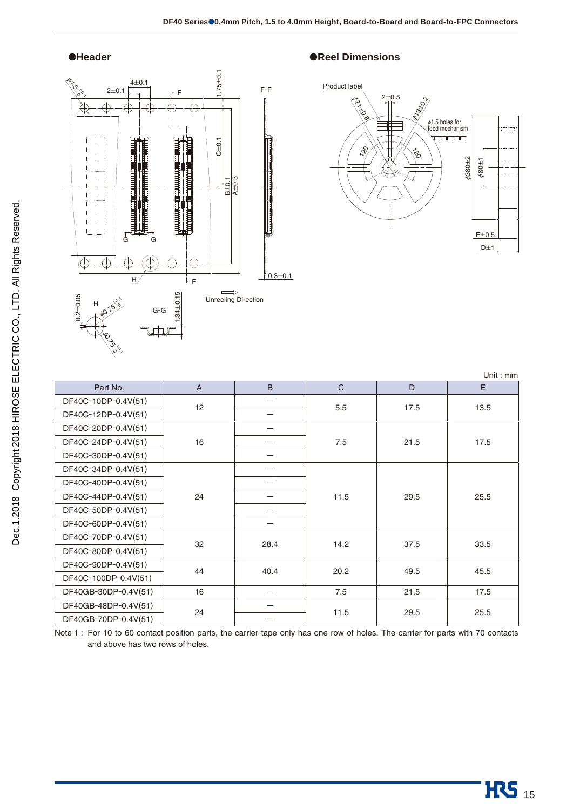

#### ●**Header** ●**Reel Dimensions**



| Part No.             | $\overline{A}$ | B    | C    | D    | E    |
|----------------------|----------------|------|------|------|------|
| DF40C-10DP-0.4V(51)  | 12             | —    | 5.5  | 17.5 | 13.5 |
| DF40C-12DP-0.4V(51)  |                |      |      |      |      |
| DF40C-20DP-0.4V(51)  |                | -    |      |      |      |
| DF40C-24DP-0.4V(51)  | 16             |      | 7.5  | 21.5 | 17.5 |
| DF40C-30DP-0.4V(51)  |                |      |      |      |      |
| DF40C-34DP-0.4V(51)  |                |      |      |      |      |
| DF40C-40DP-0.4V(51)  |                |      |      | 29.5 |      |
| DF40C-44DP-0.4V(51)  | 24             |      | 11.5 |      | 25.5 |
| DF40C-50DP-0.4V(51)  |                |      |      |      |      |
| DF40C-60DP-0.4V(51)  |                |      |      |      |      |
| DF40C-70DP-0.4V(51)  | 32             | 28.4 | 14.2 | 37.5 | 33.5 |
| DF40C-80DP-0.4V(51)  |                |      |      |      |      |
| DF40C-90DP-0.4V(51)  | 44             | 40.4 | 20.2 | 49.5 | 45.5 |
| DF40C-100DP-0.4V(51) |                |      |      |      |      |
| DF40GB-30DP-0.4V(51) | 16             | -    | 7.5  | 21.5 | 17.5 |
| DF40GB-48DP-0.4V(51) | 24             |      | 11.5 |      | 25.5 |
| DF40GB-70DP-0.4V(51) |                |      |      | 29.5 |      |

Note 1 : For 10 to 60 contact position parts, the carrier tape only has one row of holes. The carrier for parts with 70 contacts and above has two rows of holes.

Unit : mm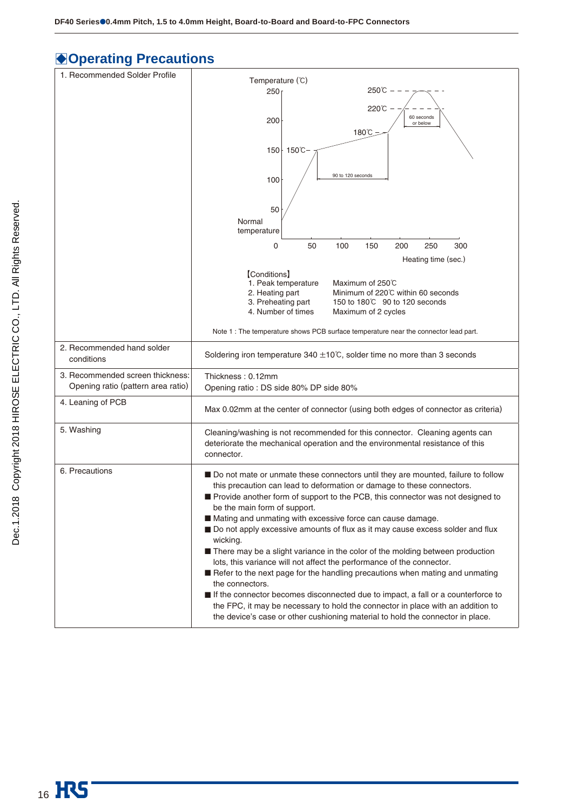## $\bigcirc$  **Operating Precautions**

| 1. Recommended Solder Profile                                          | Temperature (°C)                                                                                                                                                                                                                                                                                                                                                                                                                                                                                                                                                                                                                                                                      |  |  |  |  |
|------------------------------------------------------------------------|---------------------------------------------------------------------------------------------------------------------------------------------------------------------------------------------------------------------------------------------------------------------------------------------------------------------------------------------------------------------------------------------------------------------------------------------------------------------------------------------------------------------------------------------------------------------------------------------------------------------------------------------------------------------------------------|--|--|--|--|
|                                                                        | 250℃<br>250 <sub>1</sub>                                                                                                                                                                                                                                                                                                                                                                                                                                                                                                                                                                                                                                                              |  |  |  |  |
|                                                                        | 220℃ ·                                                                                                                                                                                                                                                                                                                                                                                                                                                                                                                                                                                                                                                                                |  |  |  |  |
|                                                                        | 60 seconds<br>200<br>or below                                                                                                                                                                                                                                                                                                                                                                                                                                                                                                                                                                                                                                                         |  |  |  |  |
|                                                                        | 180°C                                                                                                                                                                                                                                                                                                                                                                                                                                                                                                                                                                                                                                                                                 |  |  |  |  |
|                                                                        | 150℃<br>$150+$                                                                                                                                                                                                                                                                                                                                                                                                                                                                                                                                                                                                                                                                        |  |  |  |  |
|                                                                        |                                                                                                                                                                                                                                                                                                                                                                                                                                                                                                                                                                                                                                                                                       |  |  |  |  |
|                                                                        | 90 to 120 seconds<br>100                                                                                                                                                                                                                                                                                                                                                                                                                                                                                                                                                                                                                                                              |  |  |  |  |
|                                                                        |                                                                                                                                                                                                                                                                                                                                                                                                                                                                                                                                                                                                                                                                                       |  |  |  |  |
|                                                                        |                                                                                                                                                                                                                                                                                                                                                                                                                                                                                                                                                                                                                                                                                       |  |  |  |  |
|                                                                        | 50<br>Normal                                                                                                                                                                                                                                                                                                                                                                                                                                                                                                                                                                                                                                                                          |  |  |  |  |
|                                                                        | temperature                                                                                                                                                                                                                                                                                                                                                                                                                                                                                                                                                                                                                                                                           |  |  |  |  |
|                                                                        | 0<br>50<br>100<br>150<br>200<br>250<br>300                                                                                                                                                                                                                                                                                                                                                                                                                                                                                                                                                                                                                                            |  |  |  |  |
|                                                                        | Heating time (sec.)                                                                                                                                                                                                                                                                                                                                                                                                                                                                                                                                                                                                                                                                   |  |  |  |  |
|                                                                        | [Conditions]                                                                                                                                                                                                                                                                                                                                                                                                                                                                                                                                                                                                                                                                          |  |  |  |  |
|                                                                        | 1. Peak temperature<br>Maximum of 250°C<br>2. Heating part<br>Minimum of 220℃ within 60 seconds                                                                                                                                                                                                                                                                                                                                                                                                                                                                                                                                                                                       |  |  |  |  |
|                                                                        | 3. Preheating part<br>150 to 180°C 90 to 120 seconds                                                                                                                                                                                                                                                                                                                                                                                                                                                                                                                                                                                                                                  |  |  |  |  |
|                                                                        | 4. Number of times<br>Maximum of 2 cycles                                                                                                                                                                                                                                                                                                                                                                                                                                                                                                                                                                                                                                             |  |  |  |  |
|                                                                        | Note 1 : The temperature shows PCB surface temperature near the connector lead part.                                                                                                                                                                                                                                                                                                                                                                                                                                                                                                                                                                                                  |  |  |  |  |
| 2. Recommended hand solder<br>conditions                               | Soldering iron temperature 340 $\pm$ 10°C, solder time no more than 3 seconds                                                                                                                                                                                                                                                                                                                                                                                                                                                                                                                                                                                                         |  |  |  |  |
| 3. Recommended screen thickness:<br>Opening ratio (pattern area ratio) | Thickness: 0.12mm<br>Opening ratio : DS side 80% DP side 80%                                                                                                                                                                                                                                                                                                                                                                                                                                                                                                                                                                                                                          |  |  |  |  |
| 4. Leaning of PCB                                                      | Max 0.02mm at the center of connector (using both edges of connector as criteria)                                                                                                                                                                                                                                                                                                                                                                                                                                                                                                                                                                                                     |  |  |  |  |
| 5. Washing                                                             | Cleaning/washing is not recommended for this connector. Cleaning agents can<br>deteriorate the mechanical operation and the environmental resistance of this<br>connector.                                                                                                                                                                                                                                                                                                                                                                                                                                                                                                            |  |  |  |  |
| 6. Precautions                                                         | ■ Do not mate or unmate these connectors until they are mounted, failure to follow<br>this precaution can lead to deformation or damage to these connectors.<br>Provide another form of support to the PCB, this connector was not designed to<br>be the main form of support.<br>Mating and unmating with excessive force can cause damage.<br>Do not apply excessive amounts of flux as it may cause excess solder and flux<br>wicking.<br>■ There may be a slight variance in the color of the molding between production<br>lots, this variance will not affect the performance of the connector.<br>Refer to the next page for the handling precautions when mating and unmating |  |  |  |  |
|                                                                        | the connectors.<br>If the connector becomes disconnected due to impact, a fall or a counterforce to<br>the FPC, it may be necessary to hold the connector in place with an addition to<br>the device's case or other cushioning material to hold the connector in place.                                                                                                                                                                                                                                                                                                                                                                                                              |  |  |  |  |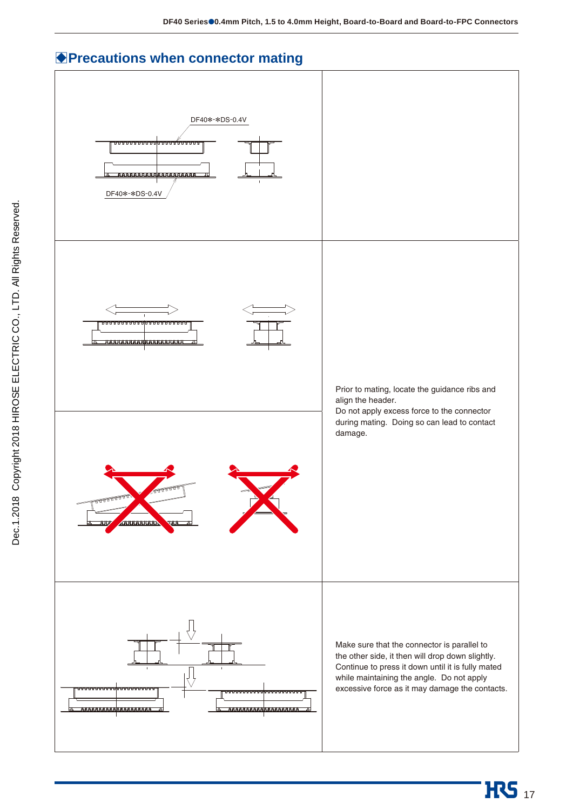### **Precautions when connector mating**

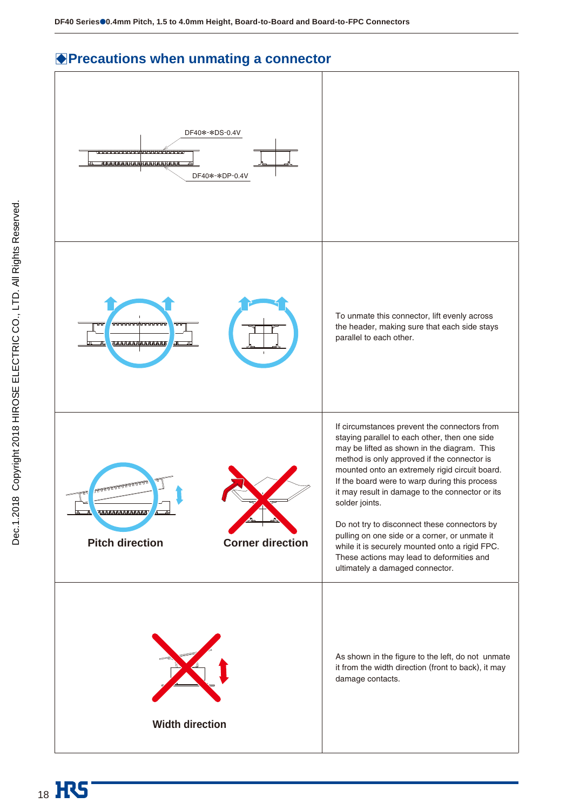### **Precautions when unmating a connector**

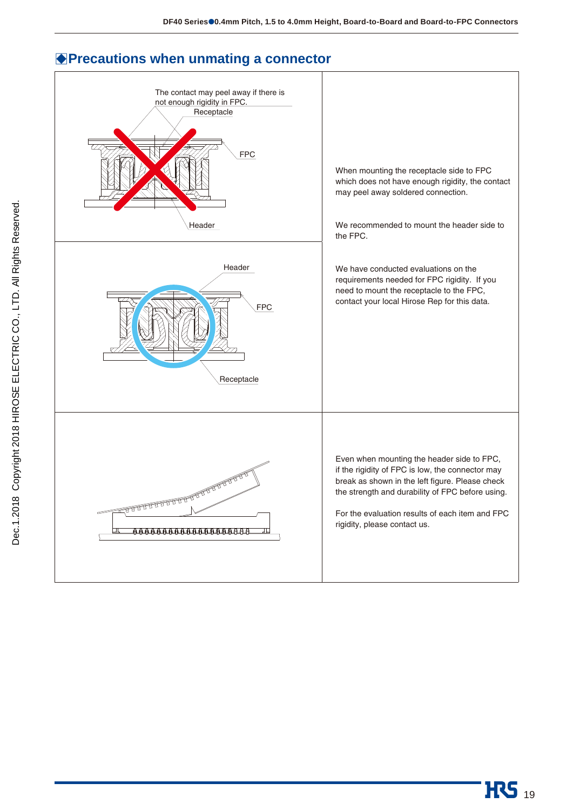

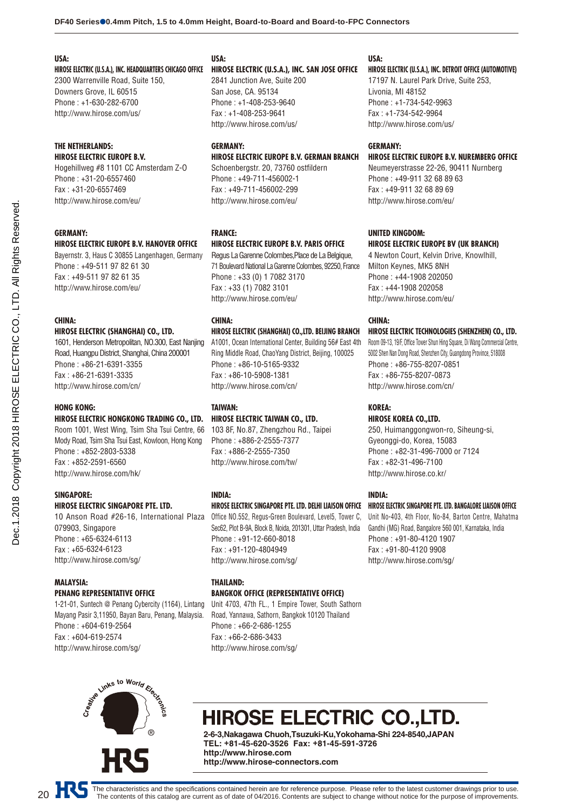#### **USA:**

**HIROSE ELECTRIC (U.S.A.), INC. HEADQUARTERS CHICAGO OFFICE**

2300 Warrenville Road, Suite 150, Downers Grove, IL 60515 Phone : +1-630-282-6700 http://www.hirose.com/us/

#### **THE NETHERLANDS: HIROSE ELECTRIC EUROPE B.V.**

Hogehillweg #8 1101 CC Amsterdam Z-O Phone : +31-20-6557460 Fax : +31-20-6557469 http://www.hirose.com/eu/

#### **GERMANY:**

#### **HIROSE ELECTRIC EUROPE B.V. HANOVER OFFICE**

Bayernstr. 3, Haus C 30855 Langenhagen, Germany Phone : +49-511 97 82 61 30 Fax : +49-511 97 82 61 35 http://www.hirose.com/eu/

#### **CHINA:**

#### **HIROSE ELECTRIC (SHANGHAI) CO., LTD.**

1601, Henderson Metropolitan, NO.300, East Nanjing Road, Huangpu District, Shanghai, China 200001 Phone : +86-21-6391-3355 Fax : +86-21-6391-3335 http://www.hirose.com/cn/

#### **HONG KONG:**

#### **HIROSE ELECTRIC HONGKONG TRADING CO., LTD.**

Room 1001, West Wing, Tsim Sha Tsui Centre, 66 Mody Road, Tsim Sha Tsui East, Kowloon, Hong Kong Phone : +852-2803-5338 Fax : +852-2591-6560 http://www.hirose.com/hk/

#### **SINGAPORE:**

#### **HIROSE ELECTRIC SINGAPORE PTE. LTD.**

10 Anson Road #26-16, International Plaza 079903, Singapore Phone : +65-6324-6113 Fax : +65-6324-6123 http://www.hirose.com/sg/

#### **MALAYSIA: PENANG REPRESENTATIVE OFFICE**

1-21-01, Suntech @ Penang Cybercity (1164), Lintang Mayang Pasir 3,11950, Bayan Baru, Penang, Malaysia. Phone : +604-619-2564 Fax : +604-619-2574 http://www.hirose.com/sg/

### **USA:**

#### **HIROSE ELECTRIC (U.S.A.), INC. SAN JOSE OFFICE**

2841 Junction Ave, Suite 200 San Jose, CA. 95134 Phone : +1-408-253-9640 Fax : +1-408-253-9641 http://www.hirose.com/us/

### **GERMANY:**

#### **HIROSE ELECTRIC EUROPE B.V. GERMAN BRANCH**

Schoenbergstr. 20, 73760 ostfildern Phone : +49-711-456002-1 Fax : +49-711-456002-299 http://www.hirose.com/eu/

#### **FRANCE:**

#### **HIROSE ELECTRIC EUROPE B.V. PARIS OFFICE**

Regus La Garenne Colombes,Place de La Belgique, 71 Boulevard National La Garenne Colombes, 92250, France Phone : +33 (0) 1 7082 3170 Fax : +33 (1) 7082 3101 http://www.hirose.com/eu/

#### **CHINA:**

#### **HIROSE ELECTRIC (SHANGHAI) CO.,LTD. BEIJING BRANCH**

A1001, Ocean International Center, Building 56# East 4th Ring Middle Road, ChaoYang District, Beijing, 100025 Phone : +86-10-5165-9332 Fax : +86-10-5908-1381 http://www.hirose.com/cn/

#### **TAIWAN: HIROSE ELECTRIC TAIWAN CO., LTD.**

103 8F, No.87, Zhengzhou Rd., Taipei Phone : +886-2-2555-7377 Fax : +886-2-2555-7350 http://www.hirose.com/tw/

#### **INDIA:**

#### **HIROSE ELECTRIC SINGAPORE PTE. LTD. DELHI LIAISON OFFICE**

Office NO.552, Regus-Green Boulevard, Level5, Tower C, Sec62, Plot B-9A, Block B, Noida, 201301, Uttar Pradesh, India Phone : +91-12-660-8018 Fax : +91-120-4804949 http://www.hirose.com/sg/

#### **THAILAND: BANGKOK OFFICE (REPRESENTATIVE OFFICE)**

Unit 4703, 47th FL., 1 Empire Tower, South Sathorn Road, Yannawa, Sathorn, Bangkok 10120 Thailand Phone : +66-2-686-1255 Fax : +66-2-686-3433 http://www.hirose.com/sg/

#### **USA:**

#### **HIROSE ELECTRIC (U.S.A.), INC. DETROIT OFFICE (AUTOMOTIVE)**

17197 N. Laurel Park Drive, Suite 253, Livonia, MI 48152 Phone : +1-734-542-9963 Fax : +1-734-542-9964 http://www.hirose.com/us/

#### **GERMANY:**

#### **HIROSE ELECTRIC EUROPE B.V. NUREMBERG OFFICE**

Neumeyerstrasse 22-26, 90411 Nurnberg Phone : +49-911 32 68 89 63 Fax : +49-911 32 68 89 69 http://www.hirose.com/eu/

#### **UNITED KINGDOM: HIROSE ELECTRIC EUROPE BV (UK BRANCH)**

4 Newton Court, Kelvin Drive, Knowlhill, Milton Keynes, MK5 8NH Phone : +44-1908 202050 Fax : +44-1908 202058 http://www.hirose.com/eu/

#### **CHINA:**

#### **HIROSE ELECTRIC TECHNOLOGIES (SHENZHEN) CO., LTD.**

Room 09-13, 19/F, Office Tower Shun Hing Square, Di Wang Commercial Centre, 5002 Shen Nan Dong Road, Shenzhen City, Guangdong Province, 518008 Phone : +86-755-8207-0851 Fax : +86-755-8207-0873 http://www.hirose.com/cn/

#### **KOREA:**

#### **HIROSE KOREA CO.,LTD.** 250, Huimanggongwon-ro, Siheung-si, Gyeonggi-do, Korea, 15083 Phone : +82-31-496-7000 or 7124 Fax : +82-31-496-7100 http://www.hirose.co.kr/

#### **INDIA:**

#### **HIROSE ELECTRIC SINGAPORE PTE. LTD. BANGALORE LIAISON OFFICE**

Unit No-403, 4th Floor, No-84, Barton Centre, Mahatma Gandhi (MG) Road, Bangalore 560 001, Karnataka, India Phone : +91-80-4120 1907 Fax : +91-80-4120 9908 http://www.hirose.com/sg/



## **HIROSE ELECTRIC CO.,LTD.**

**2-6-3,Nakagawa Chuoh,Tsuzuki-Ku,Yokohama-Shi 224-8540,JAPAN TEL: +81-45-620-3526 Fax: +81-45-591-3726 http://www.hirose.com http://www.hirose-connectors.com**